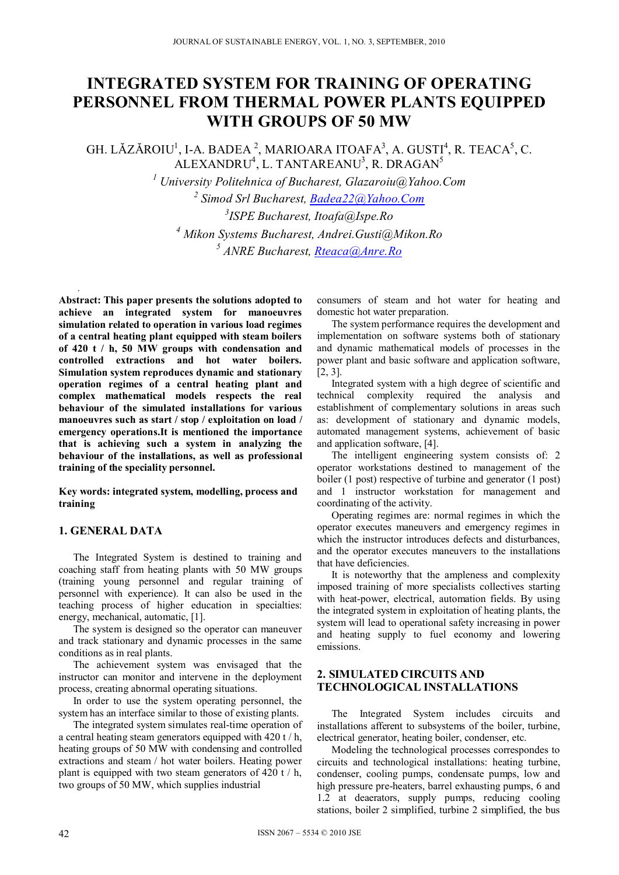# **INTEGRATED SYSTEM FOR TRAINING OF OPERATING PERSONNEL FROM THERMAL POWER PLANTS EQUIPPED WITH GROUPS OF 50 MW**

GH. LĂZĂROIU<sup>1</sup>, I-A. BADEA<sup>2</sup>, MARIOARA ITOAFA<sup>3</sup>, A. GUSTI<sup>4</sup>, R. TEACA<sup>5</sup>, C. ALEXANDRU<sup>4</sup>, L. TANTAREANU<sup>3</sup>, R. DRAGAN<sup>5</sup>

> *University Politehnica of Bucharest, Glazaroiu@Yahoo.Com Simod Srl Bucharest, Badea22@Yahoo.Com ISPE Bucharest, Itoafa@Ispe.Ro Mikon Systems Bucharest, Andrei.Gusti@Mikon.Ro ANRE Bucharest, Rteaca@Anre.Ro*

*.*  **Abstract: This paper presents the solutions adopted to achieve an integrated system for manoeuvres simulation related to operation in various load regimes of a central heating plant equipped with steam boilers of 420 t / h, 50 MW groups with condensation and controlled extractions and hot water boilers. Simulation system reproduces dynamic and stationary operation regimes of a central heating plant and complex mathematical models respects the real behaviour of the simulated installations for various manoeuvres such as start / stop / exploitation on load / emergency operations.It is mentioned the importance that is achieving such a system in analyzing the behaviour of the installations, as well as professional training of the speciality personnel.** 

**Key words: integrated system, modelling, process and training** 

## **1. GENERAL DATA**

The Integrated System is destined to training and coaching staff from heating plants with 50 MW groups (training young personnel and regular training of personnel with experience). It can also be used in the teaching process of higher education in specialties: energy, mechanical, automatic, [1].

The system is designed so the operator can maneuver and track stationary and dynamic processes in the same conditions as in real plants.

The achievement system was envisaged that the instructor can monitor and intervene in the deployment process, creating abnormal operating situations.

In order to use the system operating personnel, the system has an interface similar to those of existing plants.

The integrated system simulates real-time operation of a central heating steam generators equipped with 420 t / h, heating groups of 50 MW with condensing and controlled extractions and steam / hot water boilers. Heating power plant is equipped with two steam generators of  $420$  t / h, two groups of 50 MW, which supplies industrial

consumers of steam and hot water for heating and domestic hot water preparation.

The system performance requires the development and implementation on software systems both of stationary and dynamic mathematical models of processes in the power plant and basic software and application software, [2, 3].

Integrated system with a high degree of scientific and technical complexity required the analysis and establishment of complementary solutions in areas such as: development of stationary and dynamic models, automated management systems, achievement of basic and application software, [4].

The intelligent engineering system consists of: 2 operator workstations destined to management of the boiler (1 post) respective of turbine and generator (1 post) and 1 instructor workstation for management and coordinating of the activity.

Operating regimes are: normal regimes in which the operator executes maneuvers and emergency regimes in which the instructor introduces defects and disturbances, and the operator executes maneuvers to the installations that have deficiencies.

It is noteworthy that the ampleness and complexity imposed training of more specialists collectives starting with heat-power, electrical, automation fields. By using the integrated system in exploitation of heating plants, the system will lead to operational safety increasing in power and heating supply to fuel economy and lowering emissions.

## **2. SIMULATED CIRCUITS AND TECHNOLOGICAL INSTALLATIONS**

The Integrated System includes circuits and installations afferent to subsystems of the boiler, turbine, electrical generator, heating boiler, condenser, etc.

Modeling the technological processes correspondes to circuits and technological installations: heating turbine, condenser, cooling pumps, condensate pumps, low and high pressure pre-heaters, barrel exhausting pumps, 6 and 1.2 at deaerators, supply pumps, reducing cooling stations, boiler 2 simplified, turbine 2 simplified, the bus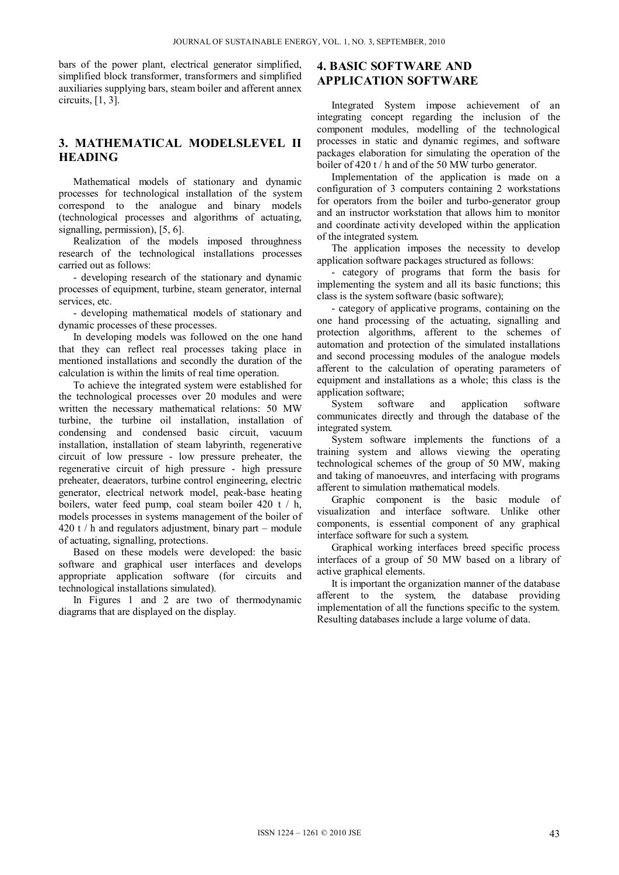bars of the power plant, electrical generator simplified, simplified block transformer, transformers and simplified auxiliaries supplying bars, steam boiler and afferent annex circuits, [1, 3].

# **3. MATHEMATICAL MODELSLEVEL II HEADING**

Mathematical models of stationary and dynamic processes for technological installation of the system correspond to the analogue and binary models (technological processes and algorithms of actuating, signalling, permission), [5, 6].

Realization of the models imposed throughness research of the technological installations processes carried out as follows:

- developing research of the stationary and dynamic processes of equipment, turbine, steam generator, internal services, etc.

- developing mathematical models of stationary and dynamic processes of these processes.

In developing models was followed on the one hand that they can reflect real processes taking place in mentioned installations and secondly the duration of the calculation is within the limits of real time operation.

To achieve the integrated system were established for the technological processes over 20 modules and were written the necessary mathematical relations: 50 MW turbine, the turbine oil installation, installation of condensing and condensed basic circuit, vacuum installation, installation of steam labyrinth, regenerative circuit of low pressure - low pressure preheater, the regenerative circuit of high pressure - high pressure preheater, deaerators, turbine control engineering, electric generator, electrical network model, peak-base heating boilers, water feed pump, coal steam boiler 420 t / h, models processes in systems management of the boiler of 420 t / h and regulators adjustment, binary part – module of actuating, signalling, protections.

Based on these models were developed: the basic software and graphical user interfaces and develops appropriate application software (for circuits and technological installations simulated).

In Figures 1 and 2 are two of thermodynamic diagrams that are displayed on the display.

# **4. BASIC SOFTWARE AND APPLICATION SOFTWARE**

Integrated System impose achievement of an integrating concept regarding the inclusion of the component modules, modelling of the technological processes in static and dynamic regimes, and software packages elaboration for simulating the operation of the boiler of 420 t / h and of the 50 MW turbo generator.

Implementation of the application is made on a configuration of 3 computers containing 2 workstations for operators from the boiler and turbo-generator group and an instructor workstation that allows him to monitor and coordinate activity developed within the application of the integrated system.

The application imposes the necessity to develop application software packages structured as follows:

- category of programs that form the basis for implementing the system and all its basic functions; this class is the system software (basic software);

- category of applicative programs, containing on the one hand processing of the actuating, signalling and protection algorithms, afferent to the schemes of automation and protection of the simulated installations and second processing modules of the analogue models afferent to the calculation of operating parameters of equipment and installations as a whole; this class is the application software;<br>System software

System software and application software communicates directly and through the database of the integrated system.

System software implements the functions of a training system and allows viewing the operating technological schemes of the group of 50 MW, making and taking of manoeuvres, and interfacing with programs afferent to simulation mathematical models.

Graphic component is the basic module of visualization and interface software. Unlike other components, is essential component of any graphical interface software for such a system.

Graphical working interfaces breed specific process interfaces of a group of 50 MW based on a library of active graphical elements.

It is important the organization manner of the database afferent to the system, the database providing implementation of all the functions specific to the system. Resulting databases include a large volume of data.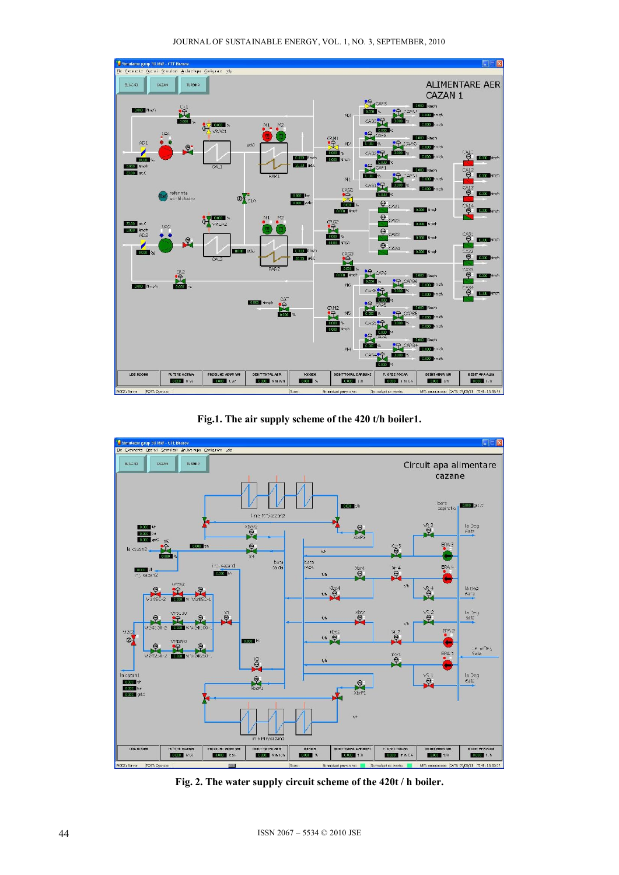



**Fig.1. The air supply scheme of the 420 t/h boiler1.** 



**Fig. 2. The water supply circuit scheme of the 420t / h boiler.**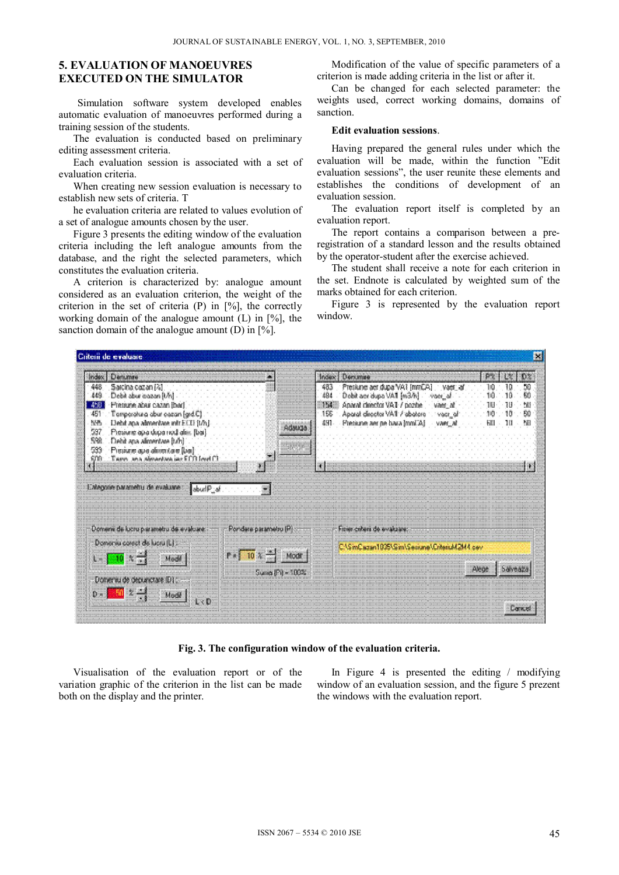## **5. EVALUATION OF MANOEUVRES EXECUTED ON THE SIMULATOR**

Simulation software system developed enables automatic evaluation of manoeuvres performed during a training session of the students.

The evaluation is conducted based on preliminary editing assessment criteria.

Each evaluation session is associated with a set of evaluation criteria.

When creating new session evaluation is necessary to establish new sets of criteria. T

he evaluation criteria are related to values evolution of a set of analogue amounts chosen by the user.

Figure 3 presents the editing window of the evaluation criteria including the left analogue amounts from the database, and the right the selected parameters, which constitutes the evaluation criteria.

A criterion is characterized by: analogue amount considered as an evaluation criterion, the weight of the criterion in the set of criteria  $(P)$  in  $[\%]$ , the correctly working domain of the analogue amount  $(L)$  in  $[\%]$ , the sanction domain of the analogue amount (D) in [%].

Modification of the value of specific parameters of a criterion is made adding criteria in the list or after it.

Can be changed for each selected parameter: the weights used, correct working domains, domains of sanction.

#### **Edit evaluation sessions**.

Having prepared the general rules under which the evaluation will be made, within the function "Edit evaluation sessions", the user reunite these elements and establishes the conditions of development of an evaluation session.

The evaluation report itself is completed by an evaluation report.

The report contains a comparison between a preregistration of a standard lesson and the results obtained by the operator-student after the exercise achieved.

The student shall receive a note for each criterion in the set. Endnote is calculated by weighted sum of the marks obtained for each criterion.

Figure 3 is represented by the evaluation report window.



**Fig. 3. The configuration window of the evaluation criteria.** 

Visualisation of the evaluation report or of the variation graphic of the criterion in the list can be made both on the display and the printer.

In Figure 4 is presented the editing / modifying window of an evaluation session, and the figure 5 prezent the windows with the evaluation report.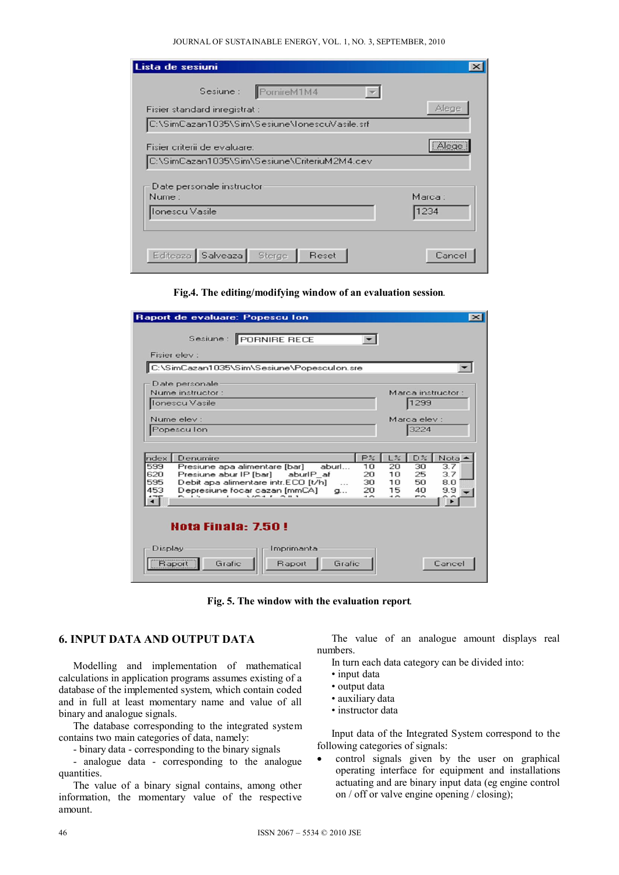#### JOURNAL OF SUSTAINABLE ENERGY, VOL. 1, NO. 3, SEPTEMBER, 2010

| Lista de sesiuni                              |         |
|-----------------------------------------------|---------|
| PornireM1M4<br>Sesiune :                      |         |
| Fisier standard inregistrat :                 | Alege   |
| C:\SimCazan1035\Sim\Sesiune\lonescuVasile.srf |         |
| Fisier criterii de evaluare:                  | Alege   |
| C:\SimCazan1035\Sim\Sesiune\CriteriuM2M4.cev  |         |
| Date personale instructor<br>Nume:            | Marca : |
| Ionescu Vasile                                | 1234    |
|                                               |         |
| Editeaza Salveaza Sterge<br>Reset             | Cance   |

#### **Fig.4. The editing/modifying window of an evaluation session***.*

| Raport de evaluare: Popescu Ion<br>$\vert x \vert$                                                                                               |
|--------------------------------------------------------------------------------------------------------------------------------------------------|
| Sesiune : PORNIRE RECE                                                                                                                           |
| Fisier elev :                                                                                                                                    |
| C:\SimCazan1035\Sim\Sesiune\Popesculon.sre                                                                                                       |
| Date personale                                                                                                                                   |
| Nume instructor:<br>Marca instructor:                                                                                                            |
| 1299<br>Ionescu Vasile                                                                                                                           |
| Marca elev :<br>Nume elev :                                                                                                                      |
| 3224<br>Popescu Ion                                                                                                                              |
|                                                                                                                                                  |
| P%<br>$L\%$<br>D%<br>Notal<br>ndex<br>Denumire                                                                                                   |
| 599<br>30<br>Presiune apa alimentare [bar]<br>aburl<br>10<br>20<br>3.7                                                                           |
| 620<br>25<br>3.7<br>Presiune abur IP [bar]<br>aburlP af<br>20<br>10                                                                              |
| 595<br>Debit apa alimentare intr.ECO [t/h]<br>50<br>30<br>10<br>8.0<br>$\cdots$<br>453<br>20<br>15<br>Depresiune focar cazan [mmCA]<br>40<br>9.9 |
| $\mathbf{a}$<br>$\sim$ $\sim$<br>$1.67 + 5.011$<br>$\sim$<br>$\sim$<br>$\sim$<br>٠T                                                              |
|                                                                                                                                                  |
|                                                                                                                                                  |
| Hota Finala: 7.50 !                                                                                                                              |
|                                                                                                                                                  |
| Imprimanta<br>Display                                                                                                                            |
| Raport<br>Grafic<br>Grafic<br>Raport<br>Cancel                                                                                                   |

**Fig. 5. The window with the evaluation report***.* 

## **6. INPUT DATA AND OUTPUT DATA**

Modelling and implementation of mathematical calculations in application programs assumes existing of a database of the implemented system, which contain coded and in full at least momentary name and value of all binary and analogue signals.

The database corresponding to the integrated system contains two main categories of data, namely:

- binary data - corresponding to the binary signals

- analogue data - corresponding to the analogue quantities.

The value of a binary signal contains, among other information, the momentary value of the respective amount.

The value of an analogue amount displays real numbers.

In turn each data category can be divided into:

- input data
- output data
- auxiliary data
- instructor data

Input data of the Integrated System correspond to the following categories of signals:

• control signals given by the user on graphical operating interface for equipment and installations actuating and are binary input data (eg engine control on / off or valve engine opening / closing);